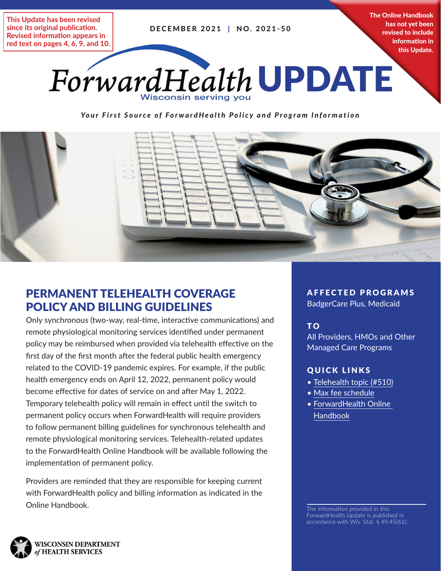DECEMBER 2021 | NO. 2021-50

**This Update has been revised since its original publication. Revised information appears in red text on pages 4, 6, 9, and 10.** The Online Handbook has not yet been revised to include information in this Update.



*Your First Source of ForwardHealth Policy and Program Information*



## PERMANENT TELEHEALTH COVERAGE POLICY AND BILLING GUIDELINES

Only synchronous (two-way, real-time, interactive communications) and remote physiological monitoring services identified under permanent policy may be reimbursed when provided via telehealth effective on the first day of the first month after the federal public health emergency related to the COVID-19 pandemic expires. For example, if the public health emergency ends on April 12, 2022, permanent policy would become effective for dates of service on and after May 1, 2022. Temporary telehealth policy will remain in effect until the switch to permanent policy occurs when ForwardHealth will require providers to follow permanent billing guidelines for synchronous telehealth and remote physiological monitoring services. Telehealth-related updates to the ForwardHealth Online Handbook will be available following the implementation of permanent policy.

Providers are reminded that they are responsible for keeping current with ForwardHealth policy and billing information as indicated in the **Online Handbook.** The information provided in this

AFFECTED PROGRAMS

BadgerCare Plus, Medicaid

## T O

All Providers, HMOs and Other Managed Care Programs

#### QUICK LINKS

- Telehealth topic ([#510](https://www.forwardhealth.wi.gov/WIPortal/Subsystem/KW/Display.aspx?ia=1&p=1&sa=1&s=2&c=61&nt=Telehealth&adv=Y))
- [Max fee schedule](https://www.forwardhealth.wi.gov/WIPortal/Subsystem/Publications/MaxFeeHome.aspx)
- [ForwardHealth Online](https://www.forwardhealth.wi.gov/WIPortal/Subsystem/KW/Display.aspx)  [Handbook](https://www.forwardhealth.wi.gov/WIPortal/Subsystem/KW/Display.aspx)

ForwardHealth Update is published in accordance with Wis. Stat. § 49.45(61).

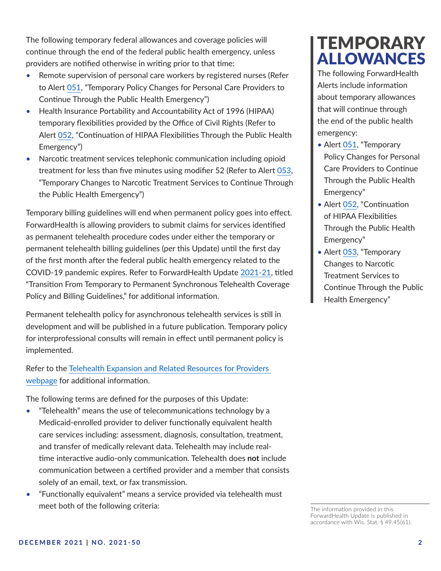The following temporary federal allowances and coverage policies will continue through the end of the federal public health emergency, unless providers are notified otherwise in writing prior to that time:

- Remote supervision of personal care workers by registered nurses (Refer to Alert [051](https://www.forwardhealth.wi.gov/WIPortal/content/html/news/pdf/Alert_051_Supervising_RNs.pdf.spage), "Temporary Policy Changes for Personal Care Providers to Continue Through the Public Health Emergency")
- Health Insurance Portability and Accountability Act of 1996 (HIPAA) temporary flexibilities provided by the Office of Civil Rights (Refer to Alert [052](https://www.forwardhealth.wi.gov/WIPortal/content/html/news/pdf/Alert_052_HIPAA_Flexibilities.pdf.spage), "Continuation of HIPAA Flexibilities Through the Public Health Emergency")
- Narcotic treatment services telephonic communication including opioid treatment for less than five minutes using modifier 52 (Refer to Alert [053](https://www.forwardhealth.wi.gov/WIPortal/content/html/news/pdf/Alert_053_NTS_Telehealth.pdf.spage), "Temporary Changes to Narcotic Treatment Services to Continue Through the Public Health Emergency")

Temporary billing guidelines will end when permanent policy goes into effect. ForwardHealth is allowing providers to submit claims for services identified as permanent telehealth procedure codes under either the temporary or permanent telehealth billing guidelines (per this Update) until the first day of the first month after the federal public health emergency related to the COVID-19 pandemic expires. Refer to ForwardHealth Update [2021-21](https://www.forwardhealth.wi.gov/kw/pdf/2021-21.pdf), titled "Transition From Temporary to Permanent Synchronous Telehealth Coverage Policy and Billing Guidelines," for additional information.

Permanent telehealth policy for asynchronous telehealth services is still in development and will be published in a future publication. Temporary policy for interprofessional consults will remain in effect until permanent policy is implemented.

Refer to the [Telehealth Expansion and Related Resources for Providers](https://www.forwardhealth.wi.gov/WIPortal/content/html/news/telehealth_resources.html.spage)  [webpage](https://www.forwardhealth.wi.gov/WIPortal/content/html/news/telehealth_resources.html.spage) for additional information.

The following terms are defined for the purposes of this Update:

- "Telehealth" means the use of telecommunications technology by a Medicaid-enrolled provider to deliver functionally equivalent health care services including: assessment, diagnosis, consultation, treatment, and transfer of medically relevant data. Telehealth may include realtime interactive audio-only communication. Telehealth does **not** include communication between a certified provider and a member that consists solely of an email, text, or fax transmission.
- "Functionally equivalent" means a service provided via telehealth must meet both of the following criteria:

## **TEMPORARY** ALLOWANCES

The following ForwardHealth Alerts include information about temporary allowances that will continue through the end of the public health emergency:

- Alert [051,](https://www.forwardhealth.wi.gov/WIPortal/content/html/news/pdf/Alert_051_Supervising_RNs.pdf.spage) "Temporary Policy Changes for Personal Care Providers to Continue Through the Public Health Emergency"
- Alert [052,](https://www.forwardhealth.wi.gov/WIPortal/content/html/news/pdf/Alert_052_HIPAA_Flexibilities.pdf.spage) "Continuation of HIPAA Flexibilities Through the Public Health Emergency"
- Alert [053,](https://www.forwardhealth.wi.gov/WIPortal/content/html/news/pdf/Alert_053_NTS_Telehealth.pdf.spage) "Temporary Changes to Narcotic Treatment Services to Continue Through the Public Health Emergency"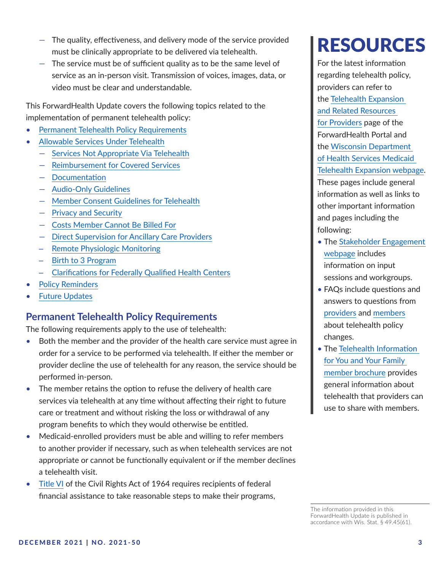- The quality, effectiveness, and delivery mode of the service provided must be clinically appropriate to be delivered via telehealth.
- The service must be of sufficient quality as to be the same level of service as an in-person visit. Transmission of voices, images, data, or video must be clear and understandable.

This ForwardHealth Update covers the following topics related to the implementation of permanent telehealth policy:

- [Permanent Telehealth Policy Requirements](#page-2-0)
- [Allowable Services Under Telehealth](#page-3-0)
	- [Services Not Appropriate Via Telehealth](#page-4-0)
	- [Reimbursement for Covered Services](#page-4-1)
	- [Documentation](#page-4-2)
	- [Audio-Only Guidelines](#page-5-0)
	- [Member Consent Guidelines for Telehealth](#page-5-1)
	- [Privacy and Security](#page-5-2)
	- [Costs Member Cannot Be Billed For](#page-6-0)
	- [Direct Supervision for Ancillary Care Providers](#page-6-1)
	- [Remote Physiologic Monitoring](#page-7-0)
	- [Birth to 3 Program](#page-8-0)
	- [Clarifications for Federally Qualified Health Centers](#page-9-0)
- [Policy Reminders](#page-9-1)
- **[Future Updates](#page-9-2)**

## <span id="page-2-0"></span>**Permanent Telehealth Policy Requirements**

The following requirements apply to the use of telehealth:

- Both the member and the provider of the health care service must agree in order for a service to be performed via telehealth. If either the member or provider decline the use of telehealth for any reason, the service should be performed in-person.
- The member retains the option to refuse the delivery of health care services via telehealth at any time without affecting their right to future care or treatment and without risking the loss or withdrawal of any program benefits to which they would otherwise be entitled.
- Medicaid-enrolled providers must be able and willing to refer members to another provider if necessary, such as when telehealth services are not appropriate or cannot be functionally equivalent or if the member declines a telehealth visit.
- [Title VI](https://www.hhs.gov/civil-rights/for-providers/laws-regulations-guidance/laws/index.html) of the Civil Rights Act of 1964 requires recipients of federal financial assistance to take reasonable steps to make their programs,

# RESOURCES

For the latest information regarding telehealth policy, providers can refer to the [Telehealth Expansion](https://www.forwardhealth.wi.gov/WIPortal/content/html/news/telehealth_resources.html.spage)  [and Related Resources](https://www.forwardhealth.wi.gov/WIPortal/content/html/news/telehealth_resources.html.spage)  [for Providers](https://www.forwardhealth.wi.gov/WIPortal/content/html/news/telehealth_resources.html.spage) page of the ForwardHealth Portal and the [Wisconsin Department](https://www.dhs.wisconsin.gov/telehealth/index.htm)  [of Health Services Medicaid](https://www.dhs.wisconsin.gov/telehealth/index.htm)  [Telehealth Expansion webpage](https://www.dhs.wisconsin.gov/telehealth/index.htm). These pages include general information as well as links to other important information and pages including the following:

- The [Stakeholder Engagement](https://www.dhs.wisconsin.gov/telehealth/stakeholder-engagement.htm)  [webpage](https://www.dhs.wisconsin.gov/telehealth/stakeholder-engagement.htm) includes information on input sessions and workgroups.
- FAQs include questions and answers to questions from [providers](https://www.forwardhealth.wi.gov/WIPortal/content/html/news/pdf/FAQs_Telehealth.pdf.spage) and [members](https://www.dhs.wisconsin.gov/telehealth/member-faqs.htm) about telehealth policy changes.
- The [Telehealth Information](https://www.dhs.wisconsin.gov/library/p-02808.htm)  [for You and Your Family](https://www.dhs.wisconsin.gov/library/p-02808.htm)  [member brochure](https://www.dhs.wisconsin.gov/library/p-02808.htm) provides general information about telehealth that providers can use to share with members.

The information provided in this ForwardHealth Update is published in accordance with Wis. Stat. § 49.45(61).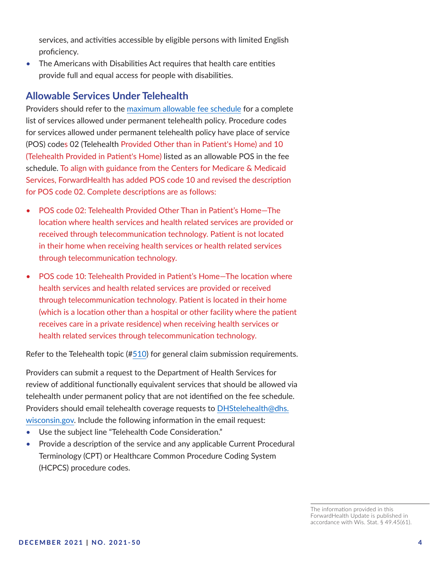services, and activities accessible by eligible persons with limited English proficiency.

• The Americans with Disabilities Act requires that health care entities provide full and equal access for people with disabilities.

## <span id="page-3-0"></span>**Allowable Services Under Telehealth**

Providers should refer to the [maximum allowable fee schedule](https://www.forwardhealth.wi.gov/WIPortal/Subsystem/Publications/MaxFeeHome.aspx) for a complete list of services allowed under permanent telehealth policy. Procedure codes for services allowed under permanent telehealth policy have place of service (POS) codes 02 (Telehealth Provided Other than in Patient's Home) and 10 (Telehealth Provided in Patient's Home) listed as an allowable POS in the fee schedule. To align with guidance from the Centers for Medicare & Medicaid Services, ForwardHealth has added POS code 10 and revised the description for POS code 02. Complete descriptions are as follows:

- POS code 02: Telehealth Provided Other Than in Patient's Home—The location where health services and health related services are provided or received through telecommunication technology. Patient is not located in their home when receiving health services or health related services through telecommunication technology.
- POS code 10: Telehealth Provided in Patient's Home—The location where health services and health related services are provided or received through telecommunication technology. Patient is located in their home (which is a location other than a hospital or other facility where the patient receives care in a private residence) when receiving health services or health related services through telecommunication technology.

Refer to the Telehealth topic ([#510](https://www.forwardhealth.wi.gov/WIPortal/Subsystem/KW/Display.aspx?ia=1&p=1&sa=50&s=2&c=61&nt=Telehealth&adv=Y)) for general claim submission requirements.

Providers can submit a request to the Department of Health Services for review of additional functionally equivalent services that should be allowed via telehealth under permanent policy that are not identified on the fee schedule. Providers should email telehealth coverage requests to [DHStelehealth@dhs.](mailto:DHStelehealth@dhs.wisconsin.gov) [wisconsin.gov](mailto:DHStelehealth@dhs.wisconsin.gov). Include the following information in the email request:

- Use the subject line "Telehealth Code Consideration."
- Provide a description of the service and any applicable Current Procedural Terminology (CPT) or Healthcare Common Procedure Coding System (HCPCS) procedure codes.

The information provided in this ForwardHealth Update is published in accordance with Wis. Stat. § 49.45(61).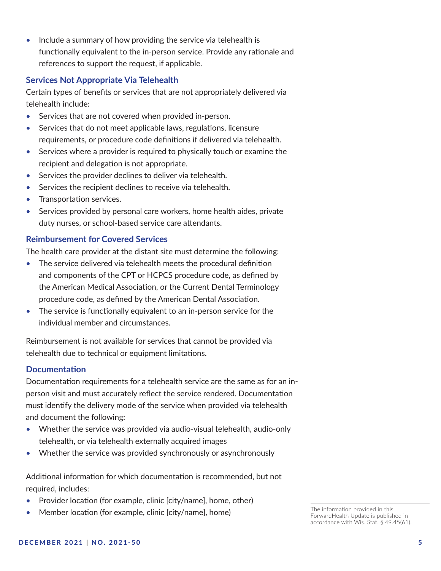• Include a summary of how providing the service via telehealth is functionally equivalent to the in-person service. Provide any rationale and references to support the request, if applicable.

#### <span id="page-4-0"></span>**Services Not Appropriate Via Telehealth**

Certain types of benefits or services that are not appropriately delivered via telehealth include:

- Services that are not covered when provided in-person.
- Services that do not meet applicable laws, regulations, licensure requirements, or procedure code definitions if delivered via telehealth.
- Services where a provider is required to physically touch or examine the recipient and delegation is not appropriate.
- Services the provider declines to deliver via telehealth.
- Services the recipient declines to receive via telehealth.
- Transportation services.
- Services provided by personal care workers, home health aides, private duty nurses, or school-based service care attendants.

#### <span id="page-4-1"></span>**Reimbursement for Covered Services**

The health care provider at the distant site must determine the following:

- The service delivered via telehealth meets the procedural definition and components of the CPT or HCPCS procedure code, as defined by the American Medical Association, or the Current Dental Terminology procedure code, as defined by the American Dental Association.
- The service is functionally equivalent to an in-person service for the individual member and circumstances.

Reimbursement is not available for services that cannot be provided via telehealth due to technical or equipment limitations.

#### <span id="page-4-2"></span>**Documentation**

Documentation requirements for a telehealth service are the same as for an inperson visit and must accurately reflect the service rendered. Documentation must identify the delivery mode of the service when provided via telehealth and document the following:

- Whether the service was provided via audio-visual telehealth, audio-only telehealth, or via telehealth externally acquired images
- Whether the service was provided synchronously or asynchronously

Additional information for which documentation is recommended, but not required, includes:

- Provider location (for example, clinic [city/name], home, other)
- Member location (for example, clinic [city/name], home)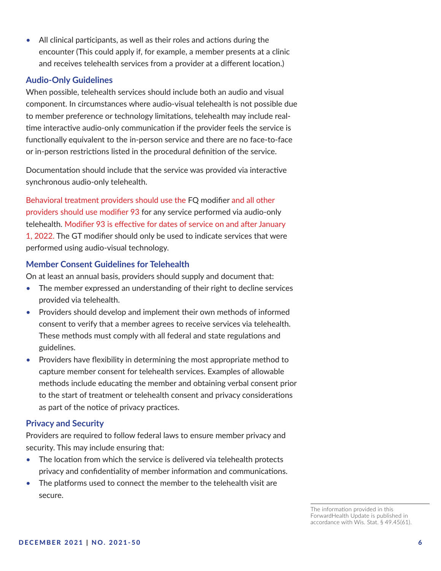• All clinical participants, as well as their roles and actions during the encounter (This could apply if, for example, a member presents at a clinic and receives telehealth services from a provider at a different location.)

#### <span id="page-5-0"></span>**Audio-Only Guidelines**

When possible, telehealth services should include both an audio and visual component. In circumstances where audio-visual telehealth is not possible due to member preference or technology limitations, telehealth may include realtime interactive audio-only communication if the provider feels the service is functionally equivalent to the in-person service and there are no face-to-face or in-person restrictions listed in the procedural definition of the service.

Documentation should include that the service was provided via interactive synchronous audio-only telehealth.

Behavioral treatment providers should use the FQ modifier and all other providers should use modifier 93 for any service performed via audio-only telehealth. Modifier 93 is effective for dates of service on and after January 1, 2022. The GT modifier should only be used to indicate services that were performed using audio-visual technology.

#### <span id="page-5-1"></span>**Member Consent Guidelines for Telehealth**

On at least an annual basis, providers should supply and document that:

- The member expressed an understanding of their right to decline services provided via telehealth.
- Providers should develop and implement their own methods of informed consent to verify that a member agrees to receive services via telehealth. These methods must comply with all federal and state regulations and guidelines.
- Providers have flexibility in determining the most appropriate method to capture member consent for telehealth services. Examples of allowable methods include educating the member and obtaining verbal consent prior to the start of treatment or telehealth consent and privacy considerations as part of the notice of privacy practices.

#### <span id="page-5-2"></span>**Privacy and Security**

Providers are required to follow federal laws to ensure member privacy and security. This may include ensuring that:

- The location from which the service is delivered via telehealth protects privacy and confidentiality of member information and communications.
- The platforms used to connect the member to the telehealth visit are secure.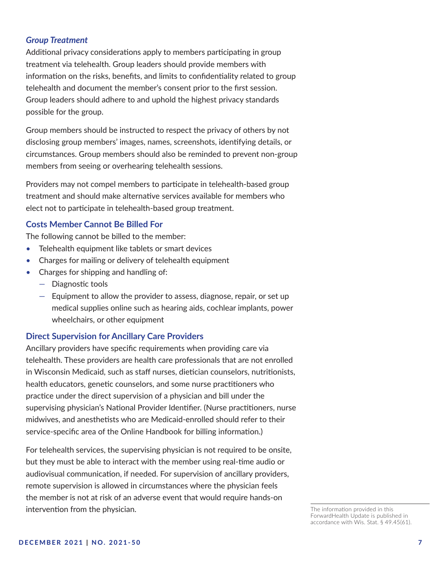#### *Group Treatment*

Additional privacy considerations apply to members participating in group treatment via telehealth. Group leaders should provide members with information on the risks, benefits, and limits to confidentiality related to group telehealth and document the member's consent prior to the first session. Group leaders should adhere to and uphold the highest privacy standards possible for the group.

Group members should be instructed to respect the privacy of others by not disclosing group members' images, names, screenshots, identifying details, or circumstances. Group members should also be reminded to prevent non-group members from seeing or overhearing telehealth sessions.

Providers may not compel members to participate in telehealth-based group treatment and should make alternative services available for members who elect not to participate in telehealth-based group treatment.

#### <span id="page-6-0"></span>**Costs Member Cannot Be Billed For**

The following cannot be billed to the member:

- Telehealth equipment like tablets or smart devices
- Charges for mailing or delivery of telehealth equipment
- Charges for shipping and handling of:
	- Diagnostic tools
	- Equipment to allow the provider to assess, diagnose, repair, or set up medical supplies online such as hearing aids, cochlear implants, power wheelchairs, or other equipment

#### <span id="page-6-1"></span>**Direct Supervision for Ancillary Care Providers**

Ancillary providers have specific requirements when providing care via telehealth. These providers are health care professionals that are not enrolled in Wisconsin Medicaid, such as staff nurses, dietician counselors, nutritionists, health educators, genetic counselors, and some nurse practitioners who practice under the direct supervision of a physician and bill under the supervising physician's National Provider Identifier. (Nurse practitioners, nurse midwives, and anesthetists who are Medicaid-enrolled should refer to their service-specific area of the Online Handbook for billing information.)

For telehealth services, the supervising physician is not required to be onsite, but they must be able to interact with the member using real-time audio or audiovisual communication, if needed. For supervision of ancillary providers, remote supervision is allowed in circumstances where the physician feels the member is not at risk of an adverse event that would require hands-on intervention from the physician.

The information provided in this ForwardHealth Update is published in accordance with Wis. Stat. § 49.45(61).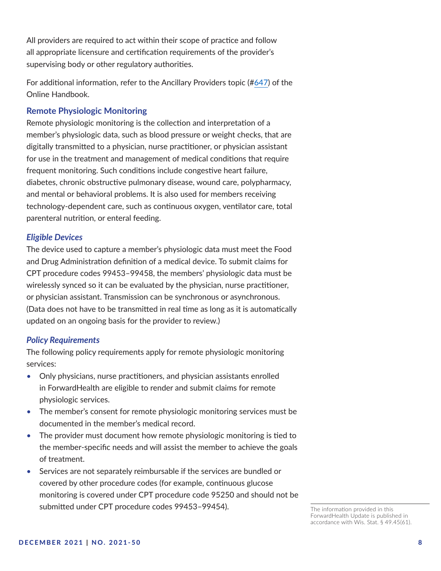All providers are required to act within their scope of practice and follow all appropriate licensure and certification requirements of the provider's supervising body or other regulatory authorities.

For additional information, refer to the Ancillary Providers topic (#[647](https://www.forwardhealth.wi.gov/WIPortal/Subsystem/KW/Display.aspx?ia=1&p=1&sa=50&s=5&c=30&nt=Ancillary+Providers&adv=Y)) of the Online Handbook.

#### <span id="page-7-0"></span>**Remote Physiologic Monitoring**

Remote physiologic monitoring is the collection and interpretation of a member's physiologic data, such as blood pressure or weight checks, that are digitally transmitted to a physician, nurse practitioner, or physician assistant for use in the treatment and management of medical conditions that require frequent monitoring. Such conditions include congestive heart failure, diabetes, chronic obstructive pulmonary disease, wound care, polypharmacy, and mental or behavioral problems. It is also used for members receiving technology-dependent care, such as continuous oxygen, ventilator care, total parenteral nutrition, or enteral feeding.

#### *Eligible Devices*

The device used to capture a member's physiologic data must meet the Food and Drug Administration definition of a medical device. To submit claims for CPT procedure codes 99453–99458, the members' physiologic data must be wirelessly synced so it can be evaluated by the physician, nurse practitioner, or physician assistant. Transmission can be synchronous or asynchronous. (Data does not have to be transmitted in real time as long as it is automatically updated on an ongoing basis for the provider to review.)

#### *Policy Requirements*

The following policy requirements apply for remote physiologic monitoring services:

- Only physicians, nurse practitioners, and physician assistants enrolled in ForwardHealth are eligible to render and submit claims for remote physiologic services.
- The member's consent for remote physiologic monitoring services must be documented in the member's medical record.
- The provider must document how remote physiologic monitoring is tied to the member-specific needs and will assist the member to achieve the goals of treatment.
- Services are not separately reimbursable if the services are bundled or covered by other procedure codes (for example, continuous glucose monitoring is covered under CPT procedure code 95250 and should not be submitted under CPT procedure codes 99453–99454).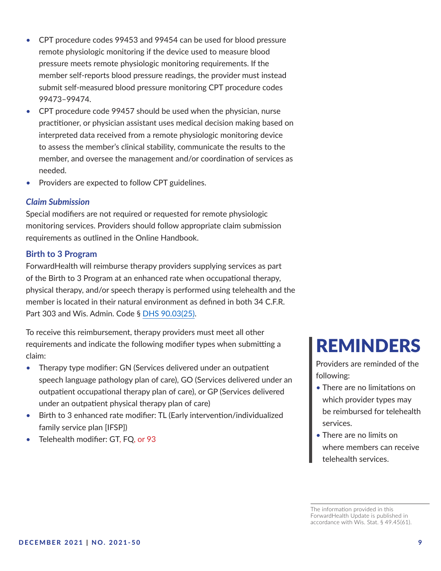- CPT procedure codes 99453 and 99454 can be used for blood pressure remote physiologic monitoring if the device used to measure blood pressure meets remote physiologic monitoring requirements. If the member self-reports blood pressure readings, the provider must instead submit self-measured blood pressure monitoring CPT procedure codes 99473–99474.
- CPT procedure code 99457 should be used when the physician, nurse practitioner, or physician assistant uses medical decision making based on interpreted data received from a remote physiologic monitoring device to assess the member's clinical stability, communicate the results to the member, and oversee the management and/or coordination of services as needed.
- Providers are expected to follow CPT guidelines.

#### *Claim Submission*

Special modifiers are not required or requested for remote physiologic monitoring services. Providers should follow appropriate claim submission requirements as outlined in the Online Handbook.

#### <span id="page-8-0"></span>**Birth to 3 Program**

ForwardHealth will reimburse therapy providers supplying services as part of the Birth to 3 Program at an enhanced rate when occupational therapy, physical therapy, and/or speech therapy is performed using telehealth and the member is located in their natural environment as defined in both 34 C.F.R. Part 303 and Wis. Admin. Code § [DHS 90.03\(25\)](http://docs.legis.wisconsin.gov/code/admin_code/dhs/030/90/03/25).

To receive this reimbursement, therapy providers must meet all other requirements and indicate the following modifier types when submitting a claim:

- Therapy type modifier: GN (Services delivered under an outpatient speech language pathology plan of care), GO (Services delivered under an outpatient occupational therapy plan of care), or GP (Services delivered under an outpatient physical therapy plan of care)
- Birth to 3 enhanced rate modifier: TL (Early intervention/individualized family service plan [IFSP])
- Telehealth modifier: GT, FQ, or 93

## REMINDERS

Providers are reminded of the following:

- There are no limitations on which provider types may be reimbursed for telehealth services.
- There are no limits on where members can receive telehealth services.

The information provided in this ForwardHealth Update is published in accordance with Wis. Stat. § 49.45(61).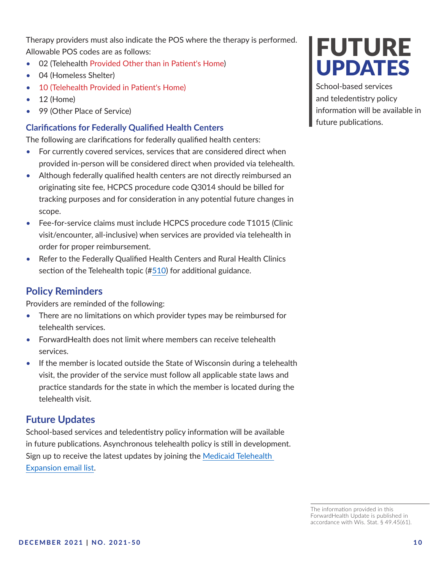Therapy providers must also indicate the POS where the therapy is performed. Allowable POS codes are as follows:

- 02 (Telehealth Provided Other than in Patient's Home)
- 04 (Homeless Shelter)
- 10 (Telehealth Provided in Patient's Home)
- 12 (Home)
- 99 (Other Place of Service)

#### <span id="page-9-0"></span>**Clarifications for Federally Qualified Health Centers**

The following are clarifications for federally qualified health centers:

- For currently covered services, services that are considered direct when provided in-person will be considered direct when provided via telehealth.
- Although federally qualified health centers are not directly reimbursed an originating site fee, HCPCS procedure code Q3014 should be billed for tracking purposes and for consideration in any potential future changes in scope.
- Fee-for-service claims must include HCPCS procedure code T1015 (Clinic visit/encounter, all-inclusive) when services are provided via telehealth in order for proper reimbursement.
- Refer to the Federally Qualified Health Centers and Rural Health Clinics section of the Telehealth topic (#[510](https://www.forwardhealth.wi.gov/WIPortal/Subsystem/KW/Display.aspx?ia=1&p=1&sa=50&s=2&c=61&nt=Telehealth&adv=Y)) for additional guidance.

## <span id="page-9-1"></span>**Policy Reminders**

Providers are reminded of the following:

- There are no limitations on which provider types may be reimbursed for telehealth services.
- ForwardHealth does not limit where members can receive telehealth services.
- If the member is located outside the State of Wisconsin during a telehealth visit, the provider of the service must follow all applicable state laws and practice standards for the state in which the member is located during the telehealth visit.

## <span id="page-9-2"></span>**Future Updates**

School-based services and teledentistry policy information will be available in future publications. Asynchronous telehealth policy is still in development. Sign up to receive the latest updates by joining the [Medicaid Telehealth](https://public.govdelivery.com/accounts/WIDHS/subscriber/new?topic_id=WIDHS_595)  [Expansion email list](https://public.govdelivery.com/accounts/WIDHS/subscriber/new?topic_id=WIDHS_595).

# **FUTURE** UPDATES

School-based services and teledentistry policy information will be available in future publications.

The information provided in this ForwardHealth Update is published in accordance with Wis. Stat. § 49.45(61).